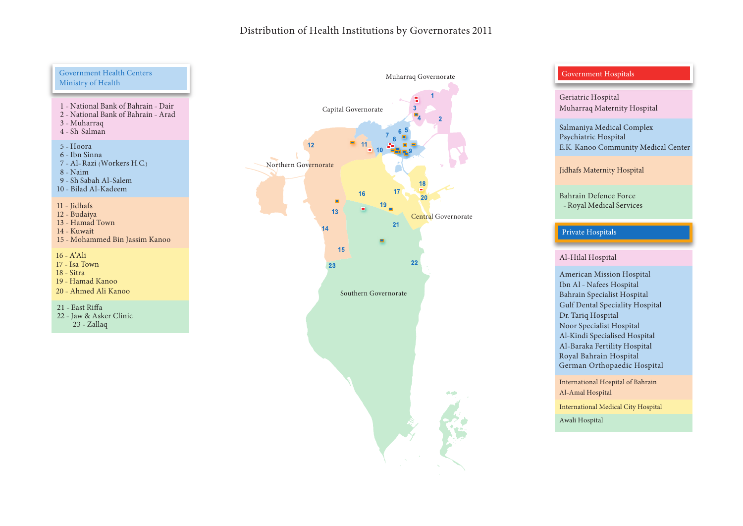## Distribution of Health Institutions by Governorates 2011

#### Government Health Centers Ministry of Health

- 1 National Bank of Bahrain Dair 2 - National Bank of Bahrain - Arad
- 3 Muharraq
- $4 Sh$ . Salman

#### 5 Hoora

- 6 Ibn Sinna
- 7 Al-Razi (Workers H.C.)
- 8 Naim 9 - Sh Sabah Al-Salem
- 10 Bilad Al-Kadeem

#### $11$  - Jidhafs

12 - Budaiya

- $13 H$ amad Town
- 14 Kuwait
- 15 Mohammed Bin Jassim Kanoo

 $16 - A'$ Ali

- 17 Isa Town
- $18 Sitra$
- 19 Hamad Kanoo
- 20 Ahmed Ali Kanoo

 $21 - East Riffa$ 

22 - Jaw & Asker Clinic  $23$  - Zallaq



### Government Hospitals

Geriatric Hospital Muharraq Maternity Hospital

Salmaniya Medical Complex Psychiatric Hospital E.K. Kanoo Community Medical Center

Jidhafs Maternity Hospital

Bahrain Defence Force Royal Medical Services

# Private Hospitals

#### Al-Hilal Hospital

American Mission Hospital Ibn Al - Nafees Hospital Bahrain Specialist Hospital Gulf Dental Speciality Hospital Dr. Tariq Hospital Noor Specialist Hospital Al-Kindi Specialised Hospital Al-Baraka Fertility Hospital Royal Bahrain Hospital German Orthopaedic Hospital

International Hospital of Bahrain Al-Amal Hospital

Awali Hospital International Medical City Hospital